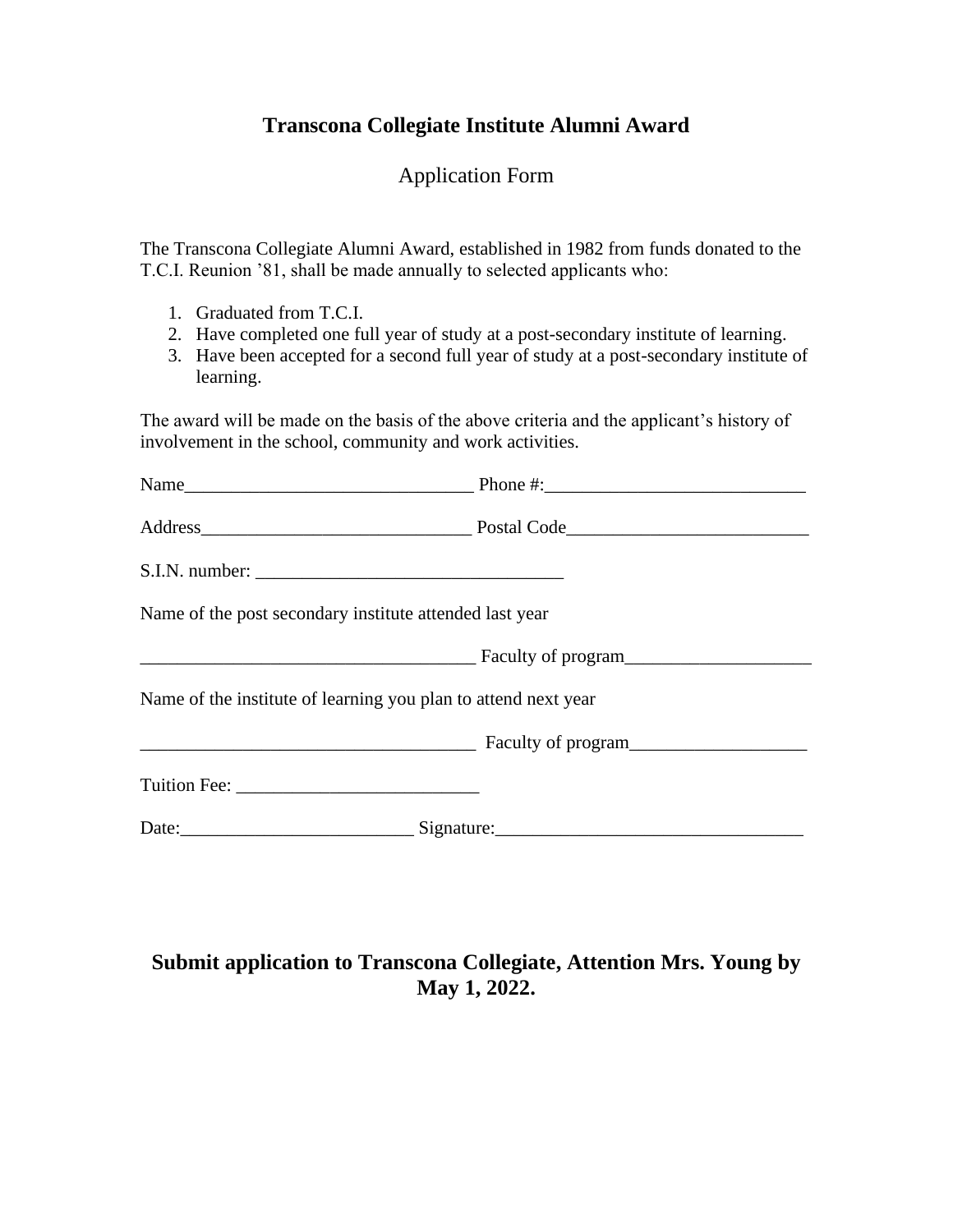## **Transcona Collegiate Institute Alumni Award**

## Application Form

The Transcona Collegiate Alumni Award, established in 1982 from funds donated to the T.C.I. Reunion '81, shall be made annually to selected applicants who:

- 1. Graduated from T.C.I.
- 2. Have completed one full year of study at a post-secondary institute of learning.
- 3. Have been accepted for a second full year of study at a post-secondary institute of learning.

The award will be made on the basis of the above criteria and the applicant's history of involvement in the school, community and work activities.

| Name of the post secondary institute attended last year        |                    |
|----------------------------------------------------------------|--------------------|
|                                                                | Faculty of program |
| Name of the institute of learning you plan to attend next year |                    |
|                                                                | Faculty of program |
|                                                                |                    |
|                                                                |                    |
|                                                                |                    |

## **Submit application to Transcona Collegiate, Attention Mrs. Young by May 1, 2022.**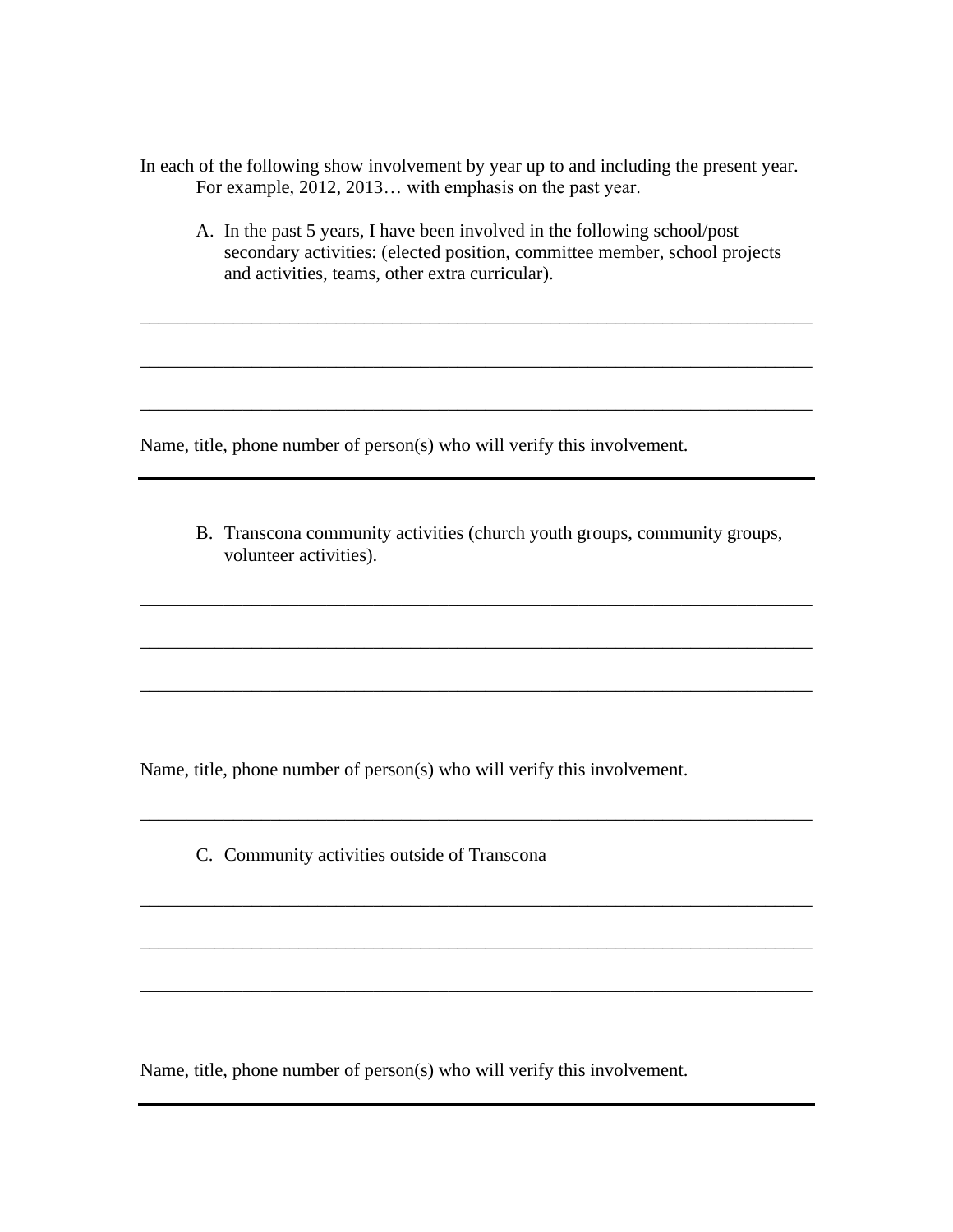In each of the following show involvement by year up to and including the present year. For example, 2012, 2013… with emphasis on the past year.

A. In the past 5 years, I have been involved in the following school/post secondary activities: (elected position, committee member, school projects and activities, teams, other extra curricular).

\_\_\_\_\_\_\_\_\_\_\_\_\_\_\_\_\_\_\_\_\_\_\_\_\_\_\_\_\_\_\_\_\_\_\_\_\_\_\_\_\_\_\_\_\_\_\_\_\_\_\_\_\_\_\_\_\_\_\_\_\_\_\_\_\_\_\_\_\_\_\_\_

\_\_\_\_\_\_\_\_\_\_\_\_\_\_\_\_\_\_\_\_\_\_\_\_\_\_\_\_\_\_\_\_\_\_\_\_\_\_\_\_\_\_\_\_\_\_\_\_\_\_\_\_\_\_\_\_\_\_\_\_\_\_\_\_\_\_\_\_\_\_\_\_

\_\_\_\_\_\_\_\_\_\_\_\_\_\_\_\_\_\_\_\_\_\_\_\_\_\_\_\_\_\_\_\_\_\_\_\_\_\_\_\_\_\_\_\_\_\_\_\_\_\_\_\_\_\_\_\_\_\_\_\_\_\_\_\_\_\_\_\_\_\_\_\_

Name, title, phone number of person(s) who will verify this involvement.

B. Transcona community activities (church youth groups, community groups, volunteer activities).

\_\_\_\_\_\_\_\_\_\_\_\_\_\_\_\_\_\_\_\_\_\_\_\_\_\_\_\_\_\_\_\_\_\_\_\_\_\_\_\_\_\_\_\_\_\_\_\_\_\_\_\_\_\_\_\_\_\_\_\_\_\_\_\_\_\_\_\_\_\_\_\_

\_\_\_\_\_\_\_\_\_\_\_\_\_\_\_\_\_\_\_\_\_\_\_\_\_\_\_\_\_\_\_\_\_\_\_\_\_\_\_\_\_\_\_\_\_\_\_\_\_\_\_\_\_\_\_\_\_\_\_\_\_\_\_\_\_\_\_\_\_\_\_\_

\_\_\_\_\_\_\_\_\_\_\_\_\_\_\_\_\_\_\_\_\_\_\_\_\_\_\_\_\_\_\_\_\_\_\_\_\_\_\_\_\_\_\_\_\_\_\_\_\_\_\_\_\_\_\_\_\_\_\_\_\_\_\_\_\_\_\_\_\_\_\_\_

\_\_\_\_\_\_\_\_\_\_\_\_\_\_\_\_\_\_\_\_\_\_\_\_\_\_\_\_\_\_\_\_\_\_\_\_\_\_\_\_\_\_\_\_\_\_\_\_\_\_\_\_\_\_\_\_\_\_\_\_\_\_\_\_\_\_\_\_\_\_\_\_

\_\_\_\_\_\_\_\_\_\_\_\_\_\_\_\_\_\_\_\_\_\_\_\_\_\_\_\_\_\_\_\_\_\_\_\_\_\_\_\_\_\_\_\_\_\_\_\_\_\_\_\_\_\_\_\_\_\_\_\_\_\_\_\_\_\_\_\_\_\_\_\_

\_\_\_\_\_\_\_\_\_\_\_\_\_\_\_\_\_\_\_\_\_\_\_\_\_\_\_\_\_\_\_\_\_\_\_\_\_\_\_\_\_\_\_\_\_\_\_\_\_\_\_\_\_\_\_\_\_\_\_\_\_\_\_\_\_\_\_\_\_\_\_\_

\_\_\_\_\_\_\_\_\_\_\_\_\_\_\_\_\_\_\_\_\_\_\_\_\_\_\_\_\_\_\_\_\_\_\_\_\_\_\_\_\_\_\_\_\_\_\_\_\_\_\_\_\_\_\_\_\_\_\_\_\_\_\_\_\_\_\_\_\_\_\_\_

Name, title, phone number of person(s) who will verify this involvement.

C. Community activities outside of Transcona

Name, title, phone number of person(s) who will verify this involvement.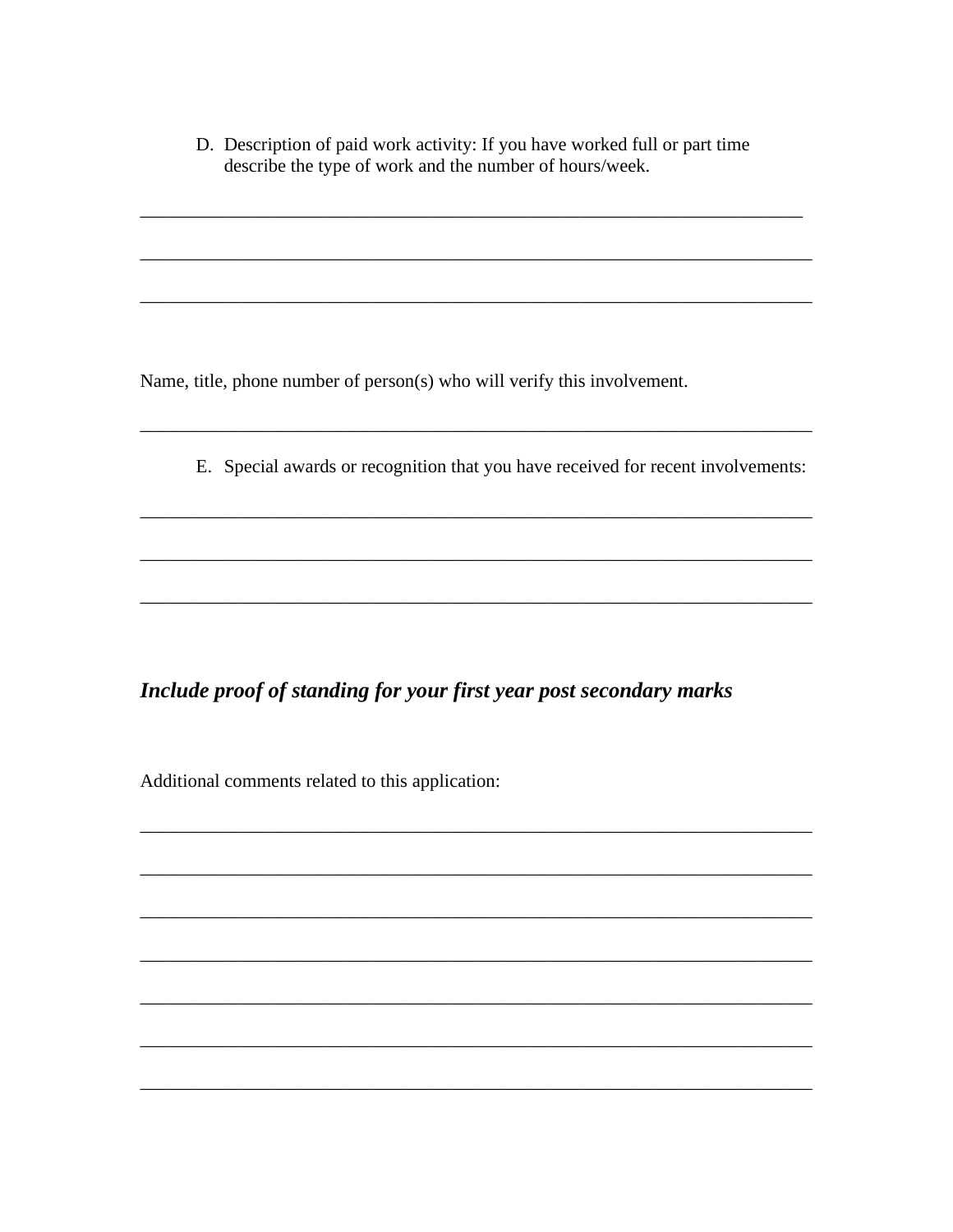D. Description of paid work activity: If you have worked full or part time describe the type of work and the number of hours/week.

Name, title, phone number of person(s) who will verify this involvement.

E. Special awards or recognition that you have received for recent involvements:

Include proof of standing for your first year post secondary marks

Additional comments related to this application: